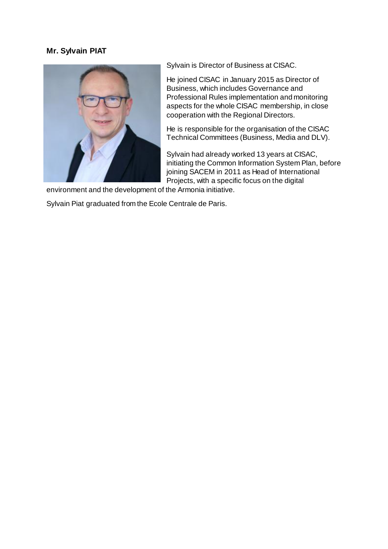## **Mr. Sylvain PIAT**



Sylvain is Director of Business at CISAC.

He joined CISAC in January 2015 as Director of Business, which includes Governance and Professional Rules implementation and monitoring aspects for the whole CISAC membership, in close cooperation with the Regional Directors.

He is responsible for the organisation of the CISAC Technical Committees (Business, Media and DLV).

Sylvain had already worked 13 years at CISAC, initiating the Common Information System Plan, before joining SACEM in 2011 as Head of International Projects, with a specific focus on the digital

environment and the development of the Armonia initiative.

Sylvain Piat graduated from the Ecole Centrale de Paris.